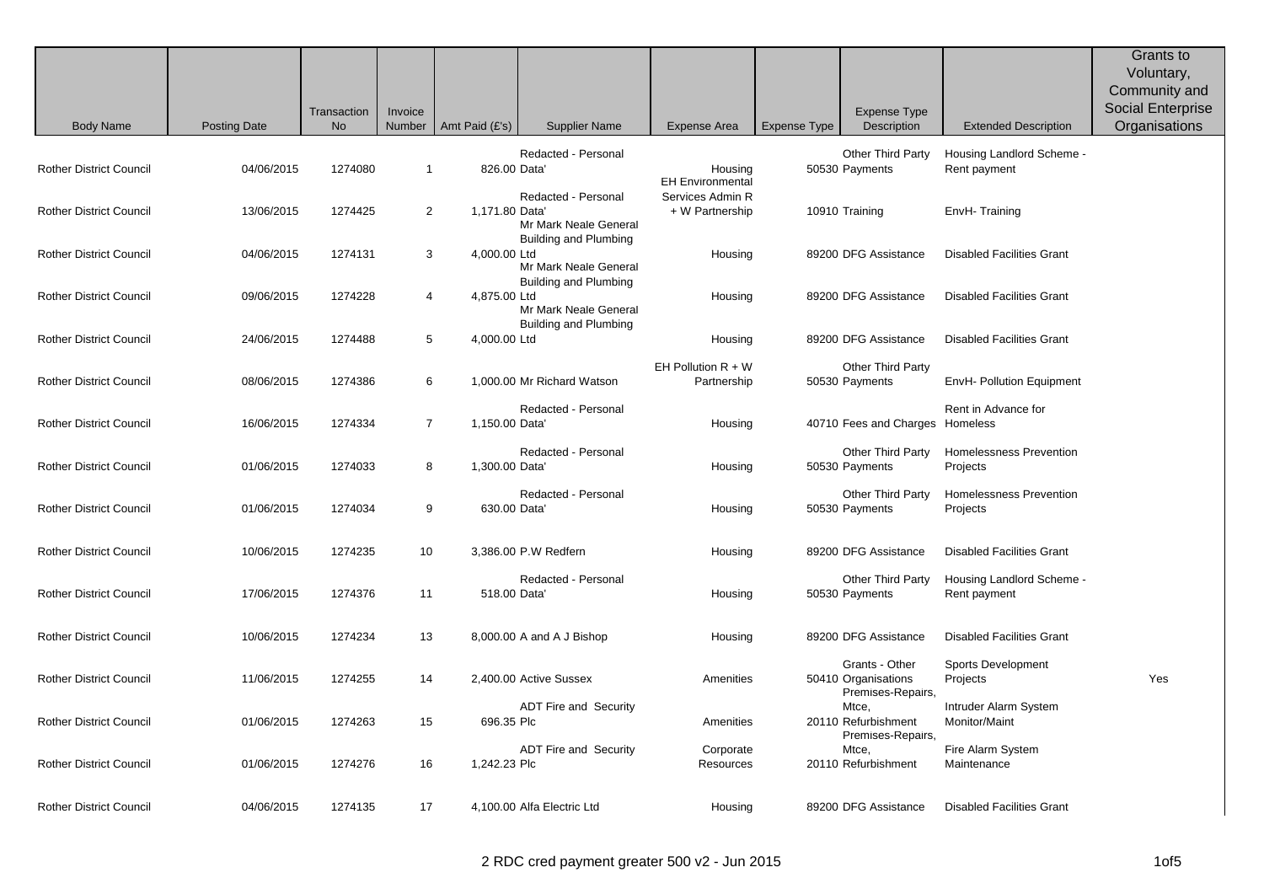|                                |                     | Transaction | Invoice        |                |                                                                              |                                     |                     | <b>Expense Type</b>                                        |                                            | Grants to<br>Voluntary,<br>Community and<br><b>Social Enterprise</b> |
|--------------------------------|---------------------|-------------|----------------|----------------|------------------------------------------------------------------------------|-------------------------------------|---------------------|------------------------------------------------------------|--------------------------------------------|----------------------------------------------------------------------|
| <b>Body Name</b>               | <b>Posting Date</b> | No          | Number         | Amt Paid (£'s) | <b>Supplier Name</b>                                                         | Expense Area                        | <b>Expense Type</b> | Description                                                | <b>Extended Description</b>                | Organisations                                                        |
| <b>Rother District Council</b> | 04/06/2015          | 1274080     | $\mathbf 1$    | 826.00 Data    | Redacted - Personal                                                          | Housing<br><b>EH Environmental</b>  |                     | Other Third Party<br>50530 Payments                        | Housing Landlord Scheme -<br>Rent payment  |                                                                      |
| <b>Rother District Council</b> | 13/06/2015          | 1274425     | $\overline{2}$ | 1,171.80 Data  | Redacted - Personal<br>Mr Mark Neale General<br><b>Building and Plumbing</b> | Services Admin R<br>+ W Partnership |                     | 10910 Training                                             | EnvH-Training                              |                                                                      |
| <b>Rother District Council</b> | 04/06/2015          | 1274131     | 3              | 4,000.00 Ltd   | Mr Mark Neale General<br>Building and Plumbing                               | Housing                             |                     | 89200 DFG Assistance                                       | <b>Disabled Facilities Grant</b>           |                                                                      |
| <b>Rother District Council</b> | 09/06/2015          | 1274228     | 4              | 4,875.00 Ltd   | Mr Mark Neale General<br>Building and Plumbing                               | Housing                             |                     | 89200 DFG Assistance                                       | <b>Disabled Facilities Grant</b>           |                                                                      |
| <b>Rother District Council</b> | 24/06/2015          | 1274488     | 5              | 4,000.00 Ltd   |                                                                              | Housing                             |                     | 89200 DFG Assistance                                       | <b>Disabled Facilities Grant</b>           |                                                                      |
| <b>Rother District Council</b> | 08/06/2015          | 1274386     | 6              |                | 1,000.00 Mr Richard Watson                                                   | EH Pollution R + W<br>Partnership   |                     | <b>Other Third Party</b><br>50530 Payments                 | EnvH- Pollution Equipment                  |                                                                      |
| <b>Rother District Council</b> | 16/06/2015          | 1274334     | $\overline{7}$ | 1,150.00 Data' | Redacted - Personal                                                          | Housing                             |                     | 40710 Fees and Charges Homeless                            | Rent in Advance for                        |                                                                      |
| <b>Rother District Council</b> | 01/06/2015          | 1274033     | 8              | 1,300.00 Data' | Redacted - Personal                                                          | Housing                             |                     | Other Third Party<br>50530 Payments                        | Homelessness Prevention<br>Projects        |                                                                      |
| <b>Rother District Council</b> | 01/06/2015          | 1274034     | 9              | 630.00 Data'   | Redacted - Personal                                                          | Housing                             |                     | Other Third Party<br>50530 Payments                        | <b>Homelessness Prevention</b><br>Projects |                                                                      |
| Rother District Council        | 10/06/2015          | 1274235     | 10             |                | 3,386.00 P.W Redfern                                                         | Housing                             |                     | 89200 DFG Assistance                                       | <b>Disabled Facilities Grant</b>           |                                                                      |
| <b>Rother District Council</b> | 17/06/2015          | 1274376     | 11             | 518.00 Data    | Redacted - Personal                                                          | Housing                             |                     | Other Third Party<br>50530 Payments                        | Housing Landlord Scheme -<br>Rent payment  |                                                                      |
| <b>Rother District Council</b> | 10/06/2015          | 1274234     | 13             |                | 8,000.00 A and A J Bishop                                                    | Housing                             |                     | 89200 DFG Assistance                                       | <b>Disabled Facilities Grant</b>           |                                                                      |
| <b>Rother District Council</b> | 11/06/2015          | 1274255     | 14             |                | 2,400.00 Active Sussex                                                       | Amenities                           |                     | Grants - Other<br>50410 Organisations<br>Premises-Repairs, | Sports Development<br>Projects             | Yes                                                                  |
| <b>Rother District Council</b> | 01/06/2015          | 1274263     | 15             | 696.35 Plc     | <b>ADT Fire and Security</b>                                                 | Amenities                           |                     | Mtce,<br>20110 Refurbishment<br>Premises-Repairs,          | Intruder Alarm System<br>Monitor/Maint     |                                                                      |
| <b>Rother District Council</b> | 01/06/2015          | 1274276     | 16             | 1,242.23 Plc   | <b>ADT Fire and Security</b>                                                 | Corporate<br><b>Resources</b>       |                     | Mtce,<br>20110 Refurbishment                               | Fire Alarm System<br>Maintenance           |                                                                      |
| <b>Rother District Council</b> | 04/06/2015          | 1274135     | 17             |                | 4,100.00 Alfa Electric Ltd                                                   | Housing                             |                     | 89200 DFG Assistance                                       | <b>Disabled Facilities Grant</b>           |                                                                      |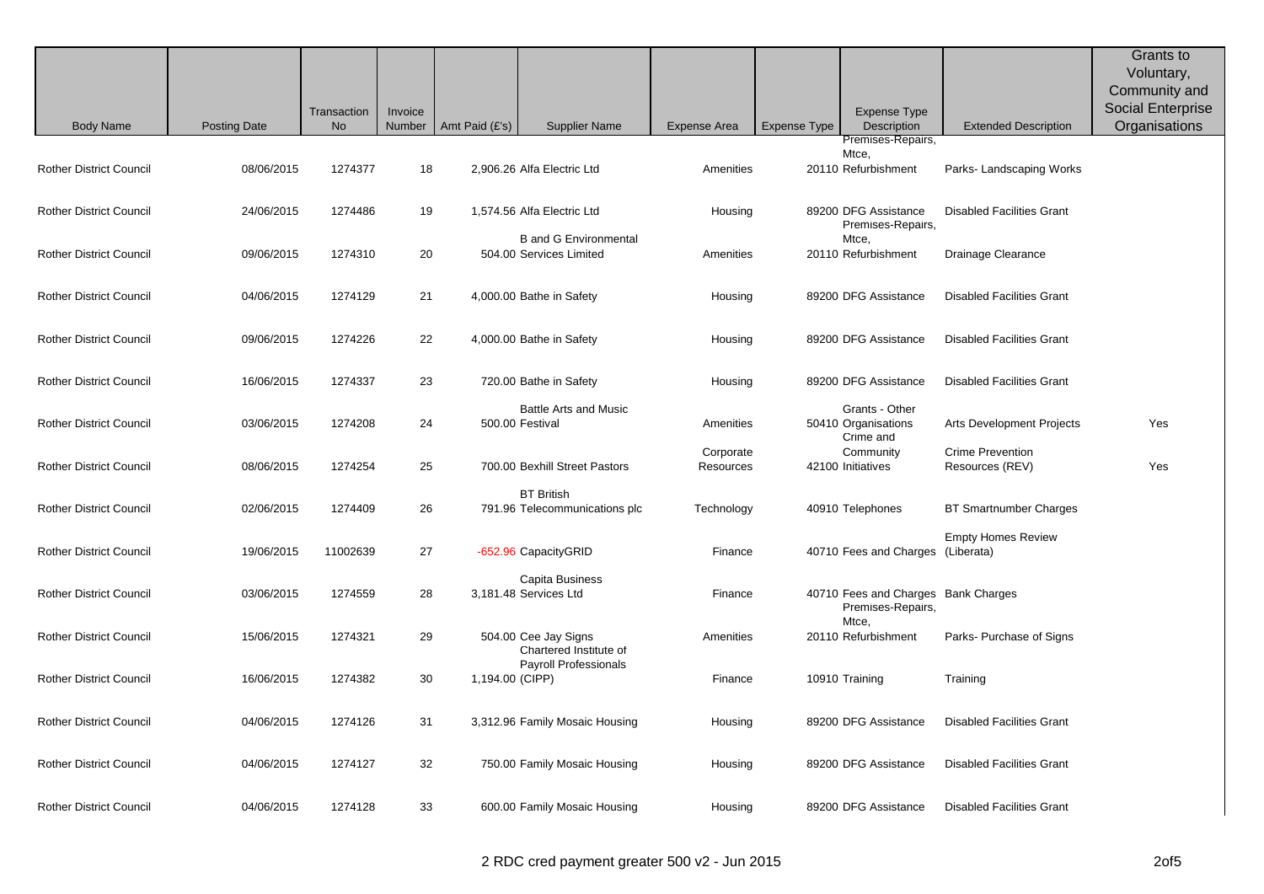|                                |                     |                          |                   |                 |                                                         |                        |                     |                                                                   |                                            | Grants to<br>Voluntary,<br>Community and<br><b>Social Enterprise</b> |
|--------------------------------|---------------------|--------------------------|-------------------|-----------------|---------------------------------------------------------|------------------------|---------------------|-------------------------------------------------------------------|--------------------------------------------|----------------------------------------------------------------------|
| <b>Body Name</b>               | <b>Posting Date</b> | Transaction<br><b>No</b> | Invoice<br>Number | Amt Paid (£'s)  | <b>Supplier Name</b>                                    | <b>Expense Area</b>    | <b>Expense Type</b> | <b>Expense Type</b><br>Description                                | <b>Extended Description</b>                | Organisations                                                        |
| <b>Rother District Council</b> | 08/06/2015          | 1274377                  | 18                |                 | 2,906.26 Alfa Electric Ltd                              | Amenities              |                     | Premises-Repairs,<br>Mtce,<br>20110 Refurbishment                 | Parks- Landscaping Works                   |                                                                      |
| <b>Rother District Council</b> | 24/06/2015          | 1274486                  | 19                |                 | 1,574.56 Alfa Electric Ltd                              | Housing                |                     | 89200 DFG Assistance<br>Premises-Repairs,                         | <b>Disabled Facilities Grant</b>           |                                                                      |
| <b>Rother District Council</b> | 09/06/2015          | 1274310                  | 20                |                 | <b>B</b> and G Environmental<br>504.00 Services Limited | Amenities              |                     | Mtce,<br>20110 Refurbishment                                      | Drainage Clearance                         |                                                                      |
| <b>Rother District Council</b> | 04/06/2015          | 1274129                  | 21                |                 | 4,000.00 Bathe in Safety                                | Housing                |                     | 89200 DFG Assistance                                              | <b>Disabled Facilities Grant</b>           |                                                                      |
| <b>Rother District Council</b> | 09/06/2015          | 1274226                  | 22                |                 | 4,000.00 Bathe in Safety                                | Housing                |                     | 89200 DFG Assistance                                              | <b>Disabled Facilities Grant</b>           |                                                                      |
| <b>Rother District Council</b> | 16/06/2015          | 1274337                  | 23                |                 | 720.00 Bathe in Safety                                  | Housing                |                     | 89200 DFG Assistance                                              | <b>Disabled Facilities Grant</b>           |                                                                      |
| <b>Rother District Council</b> | 03/06/2015          | 1274208                  | 24                |                 | <b>Battle Arts and Music</b><br>500.00 Festival         | Amenities              |                     | Grants - Other<br>50410 Organisations<br>Crime and                | Arts Development Projects                  | Yes                                                                  |
| <b>Rother District Council</b> | 08/06/2015          | 1274254                  | 25                |                 | 700.00 Bexhill Street Pastors                           | Corporate<br>Resources |                     | Community<br>42100 Initiatives                                    | <b>Crime Prevention</b><br>Resources (REV) | Yes                                                                  |
| <b>Rother District Council</b> | 02/06/2015          | 1274409                  | 26                |                 | <b>BT British</b><br>791.96 Telecommunications plc      | Technology             |                     | 40910 Telephones                                                  | <b>BT Smartnumber Charges</b>              |                                                                      |
| <b>Rother District Council</b> | 19/06/2015          | 11002639                 | 27                |                 | -652.96 CapacityGRID                                    | Finance                |                     | 40710 Fees and Charges (Liberata)                                 | <b>Empty Homes Review</b>                  |                                                                      |
| <b>Rother District Council</b> | 03/06/2015          | 1274559                  | 28                |                 | Capita Business<br>3,181.48 Services Ltd                | Finance                |                     | 40710 Fees and Charges Bank Charges<br>Premises-Repairs,<br>Mtce, |                                            |                                                                      |
| <b>Rother District Council</b> | 15/06/2015          | 1274321                  | 29                |                 | 504.00 Cee Jay Signs<br>Chartered Institute of          | Amenities              |                     | 20110 Refurbishment                                               | Parks- Purchase of Signs                   |                                                                      |
| <b>Rother District Council</b> | 16/06/2015          | 1274382                  | 30                | 1,194.00 (CIPP) | Payroll Professionals                                   | Finance                |                     | 10910 Training                                                    | Training                                   |                                                                      |
| <b>Rother District Council</b> | 04/06/2015          | 1274126                  | 31                |                 | 3,312.96 Family Mosaic Housing                          | Housing                |                     | 89200 DFG Assistance                                              | <b>Disabled Facilities Grant</b>           |                                                                      |
| <b>Rother District Council</b> | 04/06/2015          | 1274127                  | 32                |                 | 750.00 Family Mosaic Housing                            | Housing                |                     | 89200 DFG Assistance                                              | <b>Disabled Facilities Grant</b>           |                                                                      |
| <b>Rother District Council</b> | 04/06/2015          | 1274128                  | 33                |                 | 600.00 Family Mosaic Housing                            | Housing                |                     | 89200 DFG Assistance                                              | <b>Disabled Facilities Grant</b>           |                                                                      |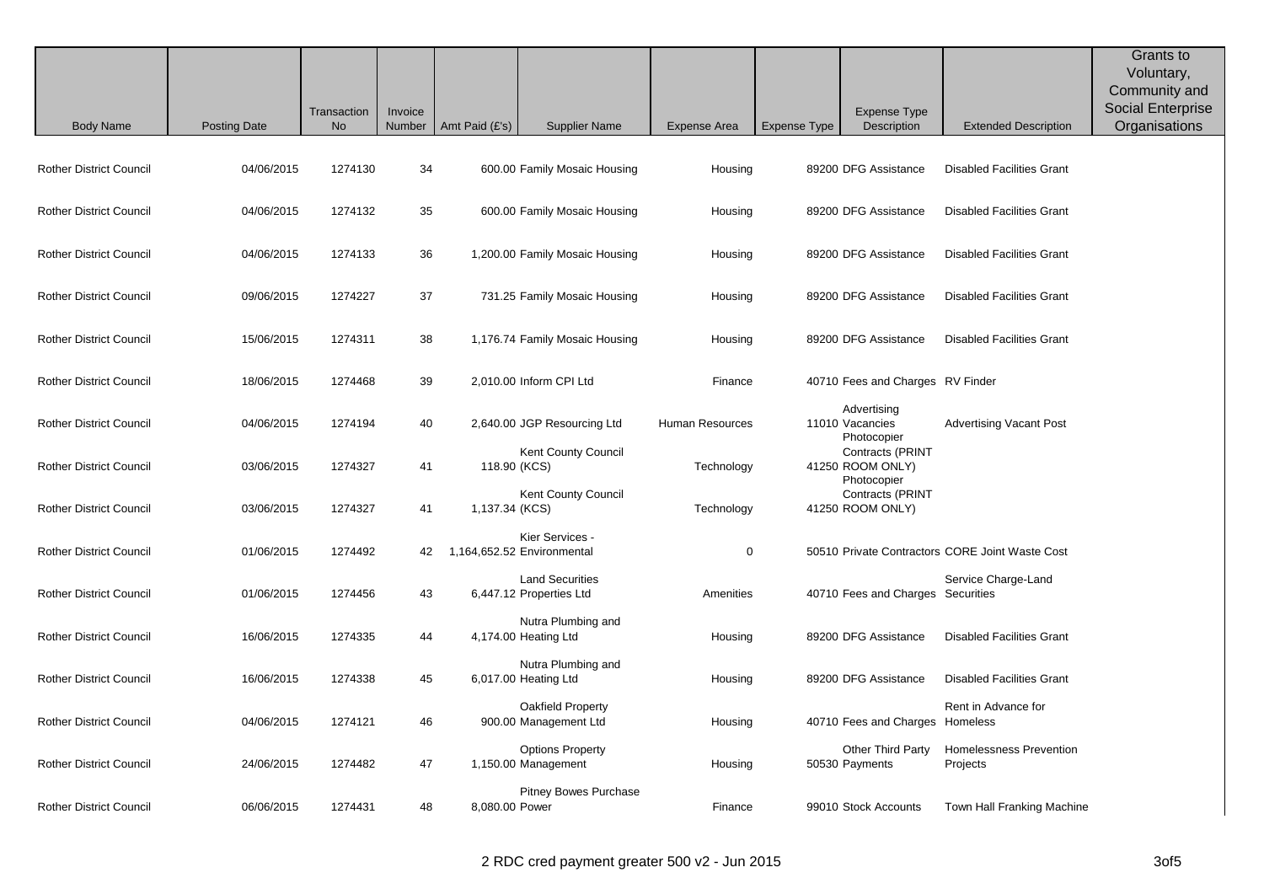|                                |                     | Transaction | Invoice |                |                                                   |                     |                     | <b>Expense Type</b>                                 |                                                 | Grants to<br>Voluntary,<br>Community and<br>Social Enterprise |
|--------------------------------|---------------------|-------------|---------|----------------|---------------------------------------------------|---------------------|---------------------|-----------------------------------------------------|-------------------------------------------------|---------------------------------------------------------------|
| <b>Body Name</b>               | <b>Posting Date</b> | <b>No</b>   | Number  | Amt Paid (£'s) | <b>Supplier Name</b>                              | <b>Expense Area</b> | <b>Expense Type</b> | Description                                         | <b>Extended Description</b>                     | Organisations                                                 |
| <b>Rother District Council</b> | 04/06/2015          | 1274130     | 34      |                | 600.00 Family Mosaic Housing                      | Housing             |                     | 89200 DFG Assistance                                | <b>Disabled Facilities Grant</b>                |                                                               |
| <b>Rother District Council</b> | 04/06/2015          | 1274132     | 35      |                | 600.00 Family Mosaic Housing                      | Housing             |                     | 89200 DFG Assistance                                | <b>Disabled Facilities Grant</b>                |                                                               |
| <b>Rother District Council</b> | 04/06/2015          | 1274133     | 36      |                | 1,200.00 Family Mosaic Housing                    | Housing             |                     | 89200 DFG Assistance                                | <b>Disabled Facilities Grant</b>                |                                                               |
| <b>Rother District Council</b> | 09/06/2015          | 1274227     | 37      |                | 731.25 Family Mosaic Housing                      | Housing             |                     | 89200 DFG Assistance                                | <b>Disabled Facilities Grant</b>                |                                                               |
| <b>Rother District Council</b> | 15/06/2015          | 1274311     | 38      |                | 1,176.74 Family Mosaic Housing                    | Housing             |                     | 89200 DFG Assistance                                | <b>Disabled Facilities Grant</b>                |                                                               |
| <b>Rother District Council</b> | 18/06/2015          | 1274468     | 39      |                | 2,010.00 Inform CPI Ltd                           | Finance             |                     | 40710 Fees and Charges RV Finder                    |                                                 |                                                               |
| <b>Rother District Council</b> | 04/06/2015          | 1274194     | 40      |                | 2,640.00 JGP Resourcing Ltd                       | Human Resources     |                     | Advertising<br>11010 Vacancies<br>Photocopier       | <b>Advertising Vacant Post</b>                  |                                                               |
| <b>Rother District Council</b> | 03/06/2015          | 1274327     | 41      | 118.90 (KCS)   | <b>Kent County Council</b>                        | Technology          |                     | Contracts (PRINT<br>41250 ROOM ONLY)<br>Photocopier |                                                 |                                                               |
| <b>Rother District Council</b> | 03/06/2015          | 1274327     | 41      | 1,137.34 (KCS) | Kent County Council                               | Technology          |                     | Contracts (PRINT<br>41250 ROOM ONLY)                |                                                 |                                                               |
| <b>Rother District Council</b> | 01/06/2015          | 1274492     | 42      |                | Kier Services -<br>1,164,652.52 Environmental     | $\mathbf 0$         |                     |                                                     | 50510 Private Contractors CORE Joint Waste Cost |                                                               |
| <b>Rother District Council</b> | 01/06/2015          | 1274456     | 43      |                | <b>Land Securities</b><br>6,447.12 Properties Ltd | Amenities           |                     | 40710 Fees and Charges Securities                   | Service Charge-Land                             |                                                               |
| <b>Rother District Council</b> | 16/06/2015          | 1274335     | 44      |                | Nutra Plumbing and<br>4,174.00 Heating Ltd        | Housing             |                     | 89200 DFG Assistance                                | <b>Disabled Facilities Grant</b>                |                                                               |
| <b>Rother District Council</b> | 16/06/2015          | 1274338     | 45      |                | Nutra Plumbing and<br>6,017.00 Heating Ltd        | Housing             |                     | 89200 DFG Assistance                                | <b>Disabled Facilities Grant</b>                |                                                               |
| <b>Rother District Council</b> | 04/06/2015          | 1274121     | 46      |                | Oakfield Property<br>900.00 Management Ltd        | Housing             |                     | 40710 Fees and Charges                              | Rent in Advance for<br>Homeless                 |                                                               |
| <b>Rother District Council</b> | 24/06/2015          | 1274482     | 47      |                | <b>Options Property</b><br>1,150.00 Management    | Housing             |                     | Other Third Party<br>50530 Payments                 | Homelessness Prevention<br>Projects             |                                                               |
| <b>Rother District Council</b> | 06/06/2015          | 1274431     | 48      | 8,080.00 Power | <b>Pitney Bowes Purchase</b>                      | Finance             |                     | 99010 Stock Accounts                                | Town Hall Franking Machine                      |                                                               |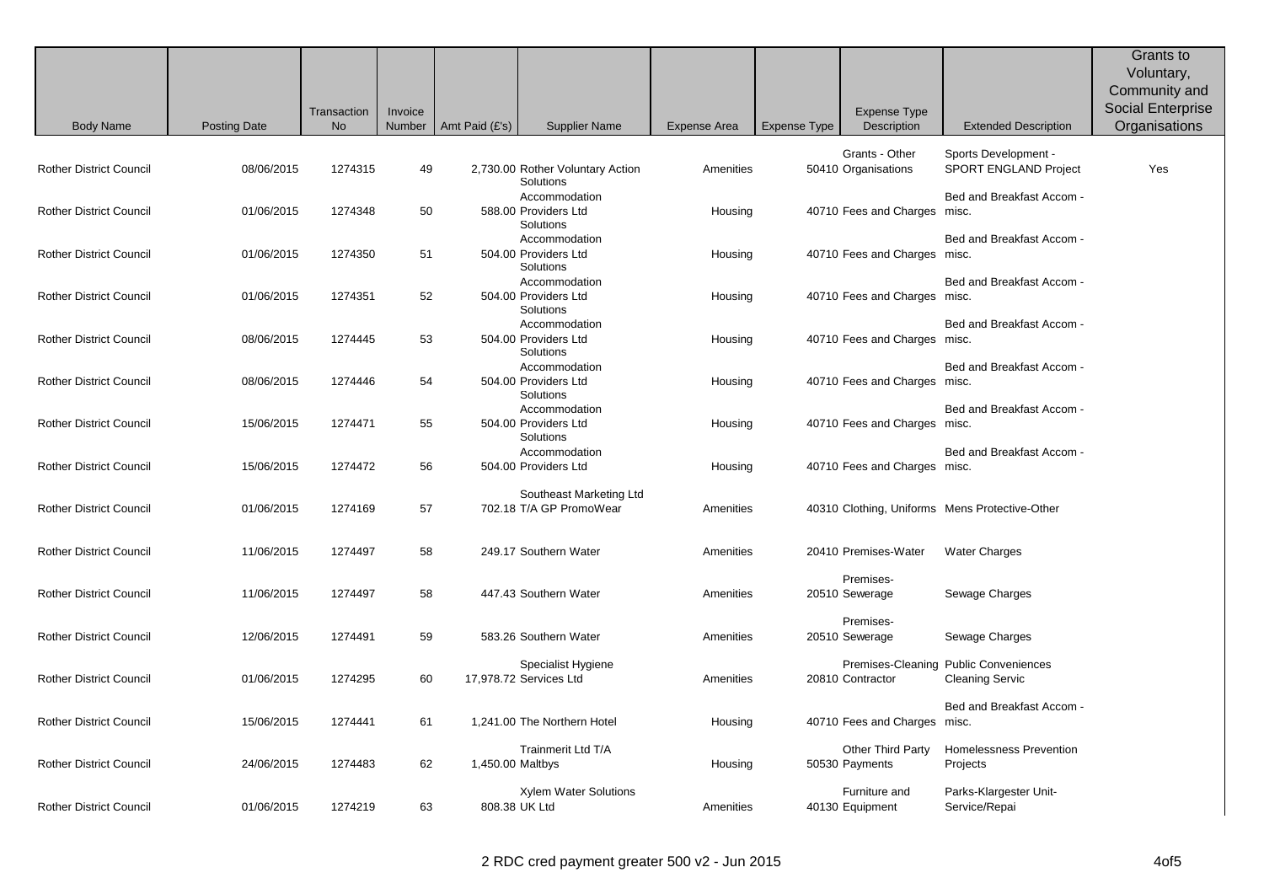|                                |                     | Transaction | Invoice |                  |                                                                     |                     |              | <b>Expense Type</b>                   |                                                                 | Grants to<br>Voluntary,<br>Community and<br><b>Social Enterprise</b> |
|--------------------------------|---------------------|-------------|---------|------------------|---------------------------------------------------------------------|---------------------|--------------|---------------------------------------|-----------------------------------------------------------------|----------------------------------------------------------------------|
| <b>Body Name</b>               | <b>Posting Date</b> | No          | Number  | Amt Paid (£'s)   | <b>Supplier Name</b>                                                | <b>Expense Area</b> | Expense Type | Description                           | <b>Extended Description</b>                                     | Organisations                                                        |
| <b>Rother District Council</b> | 08/06/2015          | 1274315     | 49      |                  | 2,730.00 Rother Voluntary Action<br>Solutions                       | Amenities           |              | Grants - Other<br>50410 Organisations | Sports Development -<br><b>SPORT ENGLAND Project</b>            | Yes                                                                  |
| <b>Rother District Council</b> | 01/06/2015          | 1274348     | 50      |                  | Accommodation<br>588.00 Providers Ltd<br>Solutions                  | Housing             |              | 40710 Fees and Charges misc.          | Bed and Breakfast Accom -                                       |                                                                      |
| <b>Rother District Council</b> | 01/06/2015          | 1274350     | 51      |                  | Accommodation<br>504.00 Providers Ltd<br>Solutions                  | Housing             |              | 40710 Fees and Charges misc.          | Bed and Breakfast Accom -                                       |                                                                      |
| <b>Rother District Council</b> | 01/06/2015          | 1274351     | 52      |                  | Accommodation<br>504.00 Providers Ltd<br>Solutions                  | Housing             |              | 40710 Fees and Charges misc.          | Bed and Breakfast Accom -                                       |                                                                      |
| <b>Rother District Council</b> | 08/06/2015          | 1274445     | 53      |                  | Accommodation<br>504.00 Providers Ltd<br>Solutions                  | Housing             |              | 40710 Fees and Charges misc.          | Bed and Breakfast Accom -                                       |                                                                      |
| <b>Rother District Council</b> | 08/06/2015          | 1274446     | 54      |                  | Accommodation<br>504.00 Providers Ltd<br>Solutions<br>Accommodation | Housing             |              | 40710 Fees and Charges misc.          | Bed and Breakfast Accom -<br>Bed and Breakfast Accom -          |                                                                      |
| <b>Rother District Council</b> | 15/06/2015          | 1274471     | 55      |                  | 504.00 Providers Ltd<br>Solutions<br>Accommodation                  | Housing             |              | 40710 Fees and Charges misc.          | Bed and Breakfast Accom -                                       |                                                                      |
| <b>Rother District Council</b> | 15/06/2015          | 1274472     | 56      |                  | 504.00 Providers Ltd                                                | Housing             |              | 40710 Fees and Charges misc.          |                                                                 |                                                                      |
| <b>Rother District Council</b> | 01/06/2015          | 1274169     | 57      |                  | Southeast Marketing Ltd<br>702.18 T/A GP PromoWear                  | Amenities           |              |                                       | 40310 Clothing, Uniforms Mens Protective-Other                  |                                                                      |
| <b>Rother District Council</b> | 11/06/2015          | 1274497     | 58      |                  | 249.17 Southern Water                                               | Amenities           |              | 20410 Premises-Water                  | <b>Water Charges</b>                                            |                                                                      |
| <b>Rother District Council</b> | 11/06/2015          | 1274497     | 58      |                  | 447.43 Southern Water                                               | Amenities           |              | Premises-<br>20510 Sewerage           | Sewage Charges                                                  |                                                                      |
| <b>Rother District Council</b> | 12/06/2015          | 1274491     | 59      |                  | 583.26 Southern Water                                               | Amenities           |              | Premises-<br>20510 Sewerage           | Sewage Charges                                                  |                                                                      |
| <b>Rother District Council</b> | 01/06/2015          | 1274295     | 60      |                  | Specialist Hygiene<br>17,978.72 Services Ltd                        | Amenities           |              | 20810 Contractor                      | Premises-Cleaning Public Conveniences<br><b>Cleaning Servic</b> |                                                                      |
| <b>Rother District Council</b> | 15/06/2015          | 1274441     | 61      |                  | 1,241.00 The Northern Hotel                                         | Housing             |              | 40710 Fees and Charges                | Bed and Breakfast Accom -<br>misc.                              |                                                                      |
| <b>Rother District Council</b> | 24/06/2015          | 1274483     | 62      | 1,450.00 Maltbys | Trainmerit Ltd T/A                                                  | Housing             |              | Other Third Party<br>50530 Payments   | Homelessness Prevention<br>Projects                             |                                                                      |
| <b>Rother District Council</b> | 01/06/2015          | 1274219     | 63      |                  | <b>Xylem Water Solutions</b><br>808.38 UK Ltd                       | Amenities           |              | Furniture and<br>40130 Equipment      | Parks-Klargester Unit-<br>Service/Repai                         |                                                                      |